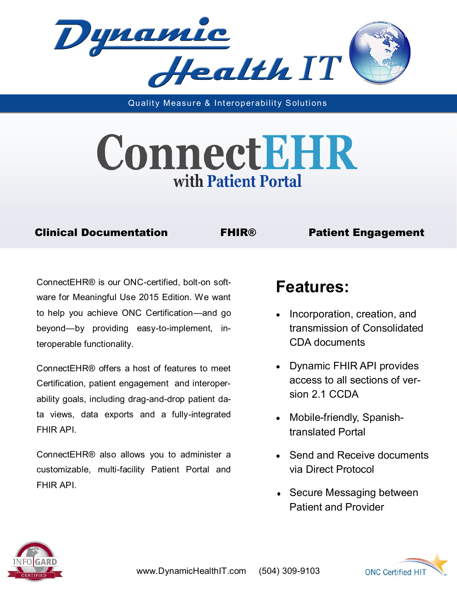

Quality Measure & Interoperability Solutions

# ConnectEHR with Patient Portal

#### Clinical Documentation FHIR® Patient Engagement

ConnectEHR® is our ONC-certified, bolt-on software for Meaningful Use 2015 Edition. We want to help you achieve ONC Certification—and go beyond—by providing easy-to-implement, interoperable functionality.

ConnectEHR® offers a host of features to meet Certification, patient engagement and interoperability goals, including drag-and-drop patient data views, data exports and a fully-integrated FHIR API.

ConnectEHR® also allows you to administer a customizable, multi-facility Patient Portal and FHIR API.

### **Features:**

- Incorporation, creation, and transmission of Consolidated CDA documents
- Dynamic FHIR API provides access to all sections of version 2.1 CCDA
- Mobile-friendly, Spanishtranslated Portal
- Send and Receive documents via Direct Protocol
- ◆ Secure Messaging between Patient and Provider